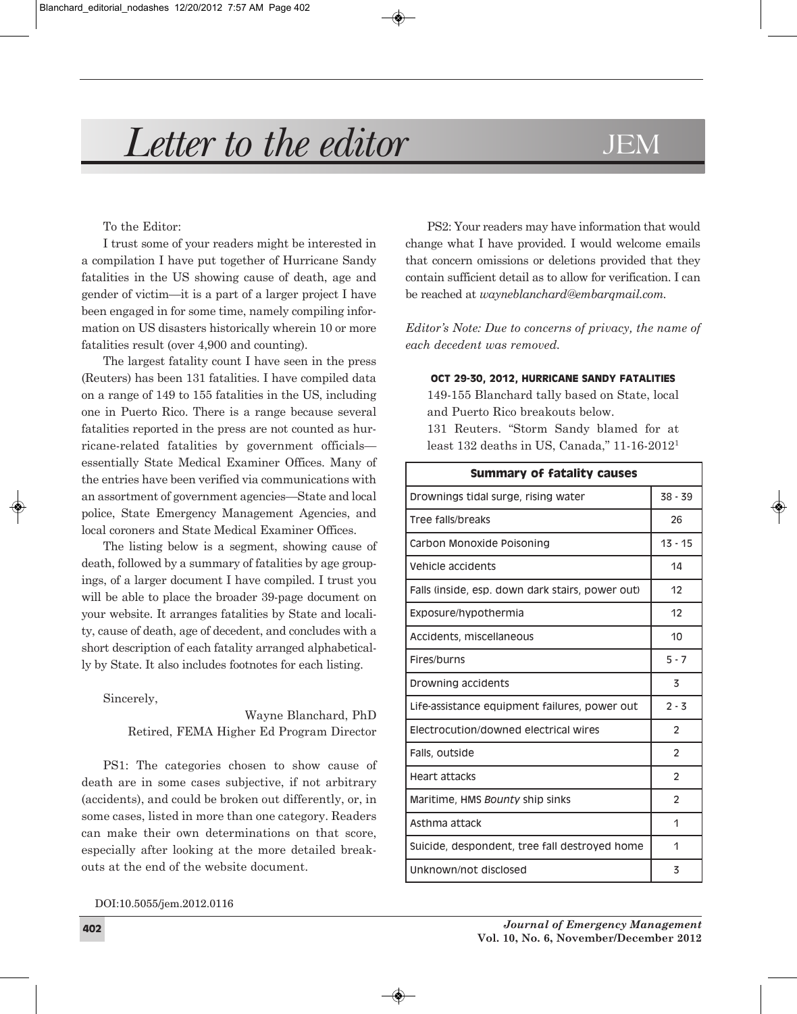# *Letter to the editor* JEM

To the Editor:

I trust some of your readers might be interested in a compilation I have put together of Hurricane Sandy fatalities in the US showing cause of death, age and gender of victim—it is a part of a larger project I have been engaged in for some time, namely compiling information on US disasters historically wherein 10 or more fatalities result (over 4,900 and counting).

The largest fatality count I have seen in the press (Reuters) has been 131 fatalities. I have compiled data on a range of 149 to 155 fatalities in the US, including one in Puerto Rico. There is a range because several fatalities reported in the press are not counted as hurricane-related fatalities by government officials essentially State Medical Examiner Offices. Many of the entries have been verified via communications with an assortment of government agencies—State and local police, State Emergency Management Agencies, and local coroners and State Medical Examiner Offices.

The listing below is a segment, showing cause of death, followed by a summary of fatalities by age groupings, of a larger document I have compiled. I trust you will be able to place the broader 39-page document on your website. It arranges fatalities by State and locality, cause of death, age of decedent, and concludes with a short description of each fatality arranged alphabetically by State. It also includes footnotes for each listing.

Sincerely,

Wayne Blanchard, PhD Retired, FEMA Higher Ed Program Director

PS1: The categories chosen to show cause of death are in some cases subjective, if not arbitrary (accidents), and could be broken out differently, or, in some cases, listed in more than one category. Readers can make their own determinations on that score, especially after looking at the more detailed breakouts at the end of the website document.

DOI:10.5055/jem.2012.0116

PS2: Your readers may have information that would change what I have provided. I would welcome emails that concern omissions or deletions provided that they contain sufficient detail as to allow for verification. I can be reached at *wayneblanchard@embarqmail.com.*

*Editor's Note: Due to concerns of privacy, the name of each decedent was removed.*

**Oct 29-30, 2012, Hurricane Sandy FatalitieS**

149-155 Blanchard tally based on State, local and Puerto Rico breakouts below. 131 Reuters. "Storm Sandy blamed for at least 132 deaths in US, Canada," 11-16-20121

| <b>Summary of fatality causes</b>                |                |  |
|--------------------------------------------------|----------------|--|
| Drownings tidal surge, rising water              | $38 - 39$      |  |
| Tree falls/breaks                                | 26             |  |
| Carbon Monoxide Poisoning                        | $13 - 15$      |  |
| Vehicle accidents                                | 14             |  |
| Falls (inside, esp. down dark stairs, power out) | 12             |  |
| Exposure/hypothermia                             | 12             |  |
| Accidents, miscellaneous                         | 10             |  |
| Fires/burns                                      | $5 - 7$        |  |
| Drowning accidents                               | 3              |  |
| Life-assistance equipment failures, power out    | $2 - 3$        |  |
| Electrocution/downed electrical wires            | 2              |  |
| Falls, outside                                   | 2              |  |
| <b>Heart attacks</b>                             | $\overline{2}$ |  |
| Maritime, HMS Bounty ship sinks                  | $\overline{2}$ |  |
| Asthma attack                                    | 1              |  |
| Suicide, despondent, tree fall destroyed home    | 1              |  |
| Unknown/not disclosed                            | 3              |  |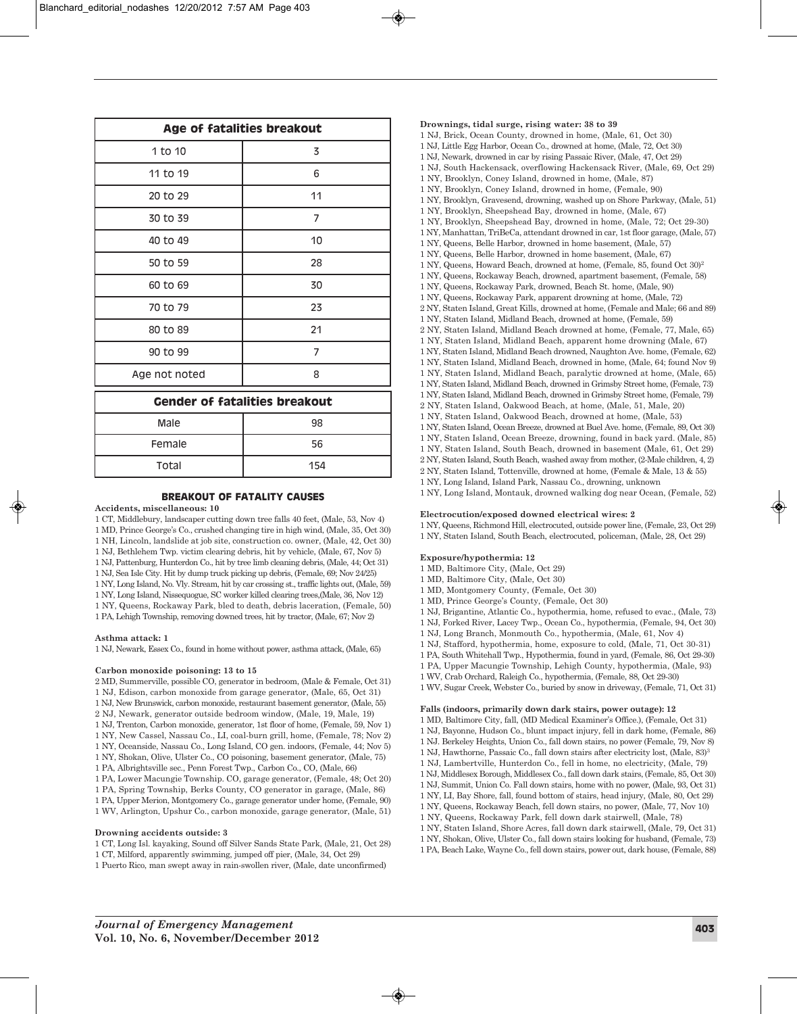| Age of fatalities breakout           |                |  |
|--------------------------------------|----------------|--|
| 1 to 10                              | 3              |  |
| 11 to 19                             | 6              |  |
| 20 to 29                             | 11             |  |
| 30 to 39                             | 7              |  |
| 40 to 49                             | 10             |  |
| 50 to 59                             | 28             |  |
| 60 to 69                             | 30             |  |
| 70 to 79                             | 23             |  |
| 80 to 89                             | 21             |  |
| 90 to 99                             | $\overline{7}$ |  |
| Age not noted                        | 8              |  |
| <b>Gender of fatalities breakout</b> |                |  |
| Male                                 | 98             |  |
| Female                               | 56             |  |
| Total                                | 154            |  |

# **BreakOut OF Fatality cauSeS**

# **Accidents, miscellaneous: 10**

- 1 CT, Middlebury, landscaper cutting down tree falls 40 feet, (Male, 53, Nov 4)
- 1 MD, Prince George's Co., crushed changing tire in high wind, (Male, 35, Oct 30)
- 1 NH, Lincoln, landslide at job site, construction co. owner, (Male, 42, Oct 30)
- 1 NJ, Bethlehem Twp. victim clearing debris, hit by vehicle, (Male, 67, Nov 5) 1 NJ, Pattenburg, Hunterdon Co., hit by tree limb cleaning debris, (Male, 44; Oct 31)
- 1 NJ, Sea Isle City. Hit by dump truck picking up debris, (Female, 69; Nov 24/25)
- 1 NY, Long Island, No. Vly. Stream, hit by car crossing st., traffic lights out, (Male, 59)
- 1 NY, Long Island, Nissequogue, SC worker killed clearing trees,(Male, 36, Nov 12)
- 1 NY, Queens, Rockaway Park, bled to death, debris laceration, (Female, 50)
- 1 PA, Lehigh Township, removing downed trees, hit by tractor, (Male, 67; Nov 2)

### **Asthma attack: 1**

1 NJ, Newark, Essex Co., found in home without power, asthma attack, (Male, 65)

#### **Carbon monoxide poisoning: 13 to 15**

- 2 MD, Summerville, possible CO, generator in bedroom, (Male & Female, Oct 31)
- 1 NJ, Edison, carbon monoxide from garage generator, (Male, 65, Oct 31)
- 1 NJ, New Brunswick, carbon monoxide, restaurant basement generator, (Male, 55)
- 2 NJ, Newark, generator outside bedroom window, (Male, 19, Male, 19)
- 1 NJ, Trenton, Carbon monoxide, generator, 1st floor of home, (Female, 59, Nov 1)
- 1 NY, New Cassel, Nassau Co., LI, coal-burn grill, home, (Female, 78; Nov 2)
- 1 NY, Oceanside, Nassau Co., Long Island, CO gen. indoors, (Female, 44; Nov 5) 1 NY, Shokan, Olive, Ulster Co., CO poisoning, basement generator, (Male, 75)
- 1 PA, Albrightsville sec., Penn Forest Twp., Carbon Co., CO, (Male, 66)
- 1 PA, Lower Macungie Township. CO, garage generator, (Female, 48; Oct 20)
- 1 PA, Spring Township, Berks County, CO generator in garage, (Male, 86)
- 1 PA, Upper Merion, Montgomery Co., garage generator under home, (Female, 90)
- 1 WV, Arlington, Upshur Co., carbon monoxide, garage generator, (Male, 51)

#### **Drowning accidents outside: 3**

- 1 CT, Long Isl. kayaking, Sound off Silver Sands State Park, (Male, 21, Oct 28)
- 1 CT, Milford, apparently swimming, jumped off pier, (Male, 34, Oct 29)
- 1 Puerto Rico, man swept away in rain-swollen river, (Male, date unconfirmed)

**Drownings, tidal surge, rising water: 38 to 39** 1 NJ, Brick, Ocean County, drowned in home, (Male, 61, Oct 30) 1 NJ, Little Egg Harbor, Ocean Co., drowned at home, (Male, 72, Oct 30) 1 NJ, Newark, drowned in car by rising Passaic River, (Male, 47, Oct 29) 1 NJ, South Hackensack, overflowing Hackensack River, (Male, 69, Oct 29) 1 NY, Brooklyn, Coney Island, drowned in home, (Male, 87) 1 NY, Brooklyn, Coney Island, drowned in home, (Female, 90) 1 NY, Brooklyn, Gravesend, drowning, washed up on Shore Parkway, (Male, 51) 1 NY, Brooklyn, Sheepshead Bay, drowned in home, (Male, 67) 1 NY, Brooklyn, Sheepshead Bay, drowned in home, (Male, 72; Oct 29-30) 1 NY, Manhattan, TriBeCa, attendant drowned in car, 1st floor garage, (Male, 57) 1 NY, Queens, Belle Harbor, drowned in home basement, (Male, 57) 1 NY, Queens, Belle Harbor, drowned in home basement, (Male, 67) 1 NY, Queens, Howard Beach, drowned at home, (Female, 85, found Oct 30)2 1 NY, Queens, Rockaway Beach, drowned, apartment basement, (Female, 58) 1 NY, Queens, Rockaway Park, drowned, Beach St. home, (Male, 90) 1 NY, Queens, Rockaway Park, apparent drowning at home, (Male, 72) 2 NY, Staten Island, Great Kills, drowned at home, (Female and Male; 66 and 89) 1 NY, Staten Island, Midland Beach, drowned at home, (Female, 59) 2 NY, Staten Island, Midland Beach drowned at home, (Female, 77, Male, 65) 1 NY, Staten Island, Midland Beach, apparent home drowning (Male, 67) 1 NY, Staten Island, Midland Beach drowned, Naughton Ave. home, (Female, 62) 1 NY, Staten Island, Midland Beach, drowned in home, (Male, 64; found Nov 9) 1 NY, Staten Island, Midland Beach, paralytic drowned at home, (Male, 65) 1 NY, Staten Island, Midland Beach, drowned in Grimsby Street home, (Female, 73) 1 NY, Staten Island, Midland Beach, drowned in Grimsby Street home, (Female, 79) 2 NY, Staten Island, Oakwood Beach, at home, (Male, 51, Male, 20) 1 NY, Staten Island, Oakwood Beach, drowned at home, (Male, 53) 1 NY, Staten Island, Ocean Breeze, drowned at Buel Ave. home, (Female, 89, Oct 30) 1 NY, Staten Island, Ocean Breeze, drowning, found in back yard. (Male, 85) 1 NY, Staten Island, South Beach, drowned in basement (Male, 61, Oct 29) 2 NY, Staten Island, South Beach, washed away from mother, (2-Male children, 4, 2) 2 NY, Staten Island, Tottenville, drowned at home, (Female & Male, 13 & 55) 1 NY, Long Island, Island Park, Nassau Co., drowning, unknown 1 NY, Long Island, Montauk, drowned walking dog near Ocean, (Female, 52)

#### **Electrocution/exposed downed electrical wires: 2**

1 NY, Queens, Richmond Hill, electrocuted, outside power line, (Female, 23, Oct 29)

1 NY, Staten Island, South Beach, electrocuted, policeman, (Male, 28, Oct 29)

# **Exposure/hypothermia: 12**

- 1 MD, Baltimore City, (Male, Oct 29)
- 1 MD, Baltimore City, (Male, Oct 30)
- 1 MD, Montgomery County, (Female, Oct 30)
- 1 MD, Prince George's County, (Female, Oct 30)
- 1 NJ, Brigantine, Atlantic Co., hypothermia, home, refused to evac., (Male, 73)
- 1 NJ, Forked River, Lacey Twp., Ocean Co., hypothermia, (Female, 94, Oct 30)
- 1 NJ, Long Branch, Monmouth Co., hypothermia, (Male, 61, Nov 4)
- 1 NJ, Stafford, hypothermia, home, exposure to cold, (Male, 71, Oct 30-31)
- 1 PA, South Whitehall Twp., Hypothermia, found in yard, (Female, 86, Oct 29-30)
- 1 PA, Upper Macungie Township, Lehigh County, hypothermia, (Male, 93)
- 1 WV, Crab Orchard, Raleigh Co., hypothermia, (Female, 88, Oct 29-30)
- 1 WV, Sugar Creek, Webster Co., buried by snow in driveway, (Female, 71, Oct 31)

# **Falls (indoors, primarily down dark stairs, power outage): 12**

- 1 MD, Baltimore City, fall, (MD Medical Examiner's Office.), (Female, Oct 31)
- 1 NJ, Bayonne, Hudson Co., blunt impact injury, fell in dark home, (Female, 86)
- 1 NJ. Berkeley Heights, Union Co., fall down stairs, no power (Female, 79, Nov 8)
- 1 NJ, Hawthorne, Passaic Co., fall down stairs after electricity lost, (Male, 83)3
- 1 NJ, Lambertville, Hunterdon Co., fell in home, no electricity, (Male, 79)
- 1 NJ, Middlesex Borough, Middlesex Co., fall down dark stairs, (Female, 85, Oct 30)
- 1 NJ, Summit, Union Co. Fall down stairs, home with no power, (Male, 93, Oct 31) 1 NY, LI, Bay Shore, fall, found bottom of stairs, head injury, (Male, 80, Oct 29)
- 1 NY, Queens, Rockaway Beach, fell down stairs, no power, (Male, 77, Nov 10)
- 1 NY, Queens, Rockaway Park, fell down dark stairwell, (Male, 78)
- 1 NY, Staten Island, Shore Acres, fall down dark stairwell, (Male, 79, Oct 31)
- 1 NY, Shokan, Olive, Ulster Co., fall down stairs looking for husband, (Female, 73)
- 1 PA, Beach Lake, Wayne Co., fell down stairs, power out, dark house, (Female, 88)